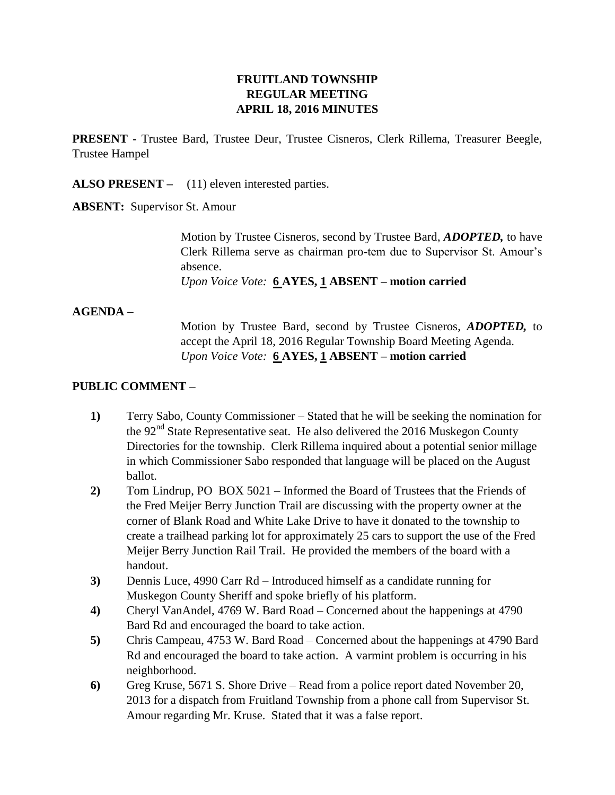# **FRUITLAND TOWNSHIP REGULAR MEETING APRIL 18, 2016 MINUTES**

**PRESENT -** Trustee Bard, Trustee Deur, Trustee Cisneros, Clerk Rillema, Treasurer Beegle, Trustee Hampel

**ALSO PRESENT –** (11) eleven interested parties.

**ABSENT:** Supervisor St. Amour

Motion by Trustee Cisneros, second by Trustee Bard, *ADOPTED,* to have Clerk Rillema serve as chairman pro-tem due to Supervisor St. Amour's absence.

*Upon Voice Vote:* **6 AYES, 1 ABSENT – motion carried**

## **AGENDA –**

Motion by Trustee Bard, second by Trustee Cisneros, *ADOPTED,* to accept the April 18, 2016 Regular Township Board Meeting Agenda. *Upon Voice Vote:* **6 AYES, 1 ABSENT – motion carried**

## **PUBLIC COMMENT –**

- **1)** Terry Sabo, County Commissioner Stated that he will be seeking the nomination for the  $92<sup>nd</sup>$  State Representative seat. He also delivered the 2016 Muskegon County Directories for the township. Clerk Rillema inquired about a potential senior millage in which Commissioner Sabo responded that language will be placed on the August ballot.
- **2)** Tom Lindrup, PO BOX 5021 Informed the Board of Trustees that the Friends of the Fred Meijer Berry Junction Trail are discussing with the property owner at the corner of Blank Road and White Lake Drive to have it donated to the township to create a trailhead parking lot for approximately 25 cars to support the use of the Fred Meijer Berry Junction Rail Trail. He provided the members of the board with a handout.
- **3)** Dennis Luce, 4990 Carr Rd Introduced himself as a candidate running for Muskegon County Sheriff and spoke briefly of his platform.
- **4)** Cheryl VanAndel, 4769 W. Bard Road Concerned about the happenings at 4790 Bard Rd and encouraged the board to take action.
- **5)** Chris Campeau, 4753 W. Bard Road Concerned about the happenings at 4790 Bard Rd and encouraged the board to take action. A varmint problem is occurring in his neighborhood.
- **6)** Greg Kruse, 5671 S. Shore Drive Read from a police report dated November 20, 2013 for a dispatch from Fruitland Township from a phone call from Supervisor St. Amour regarding Mr. Kruse. Stated that it was a false report.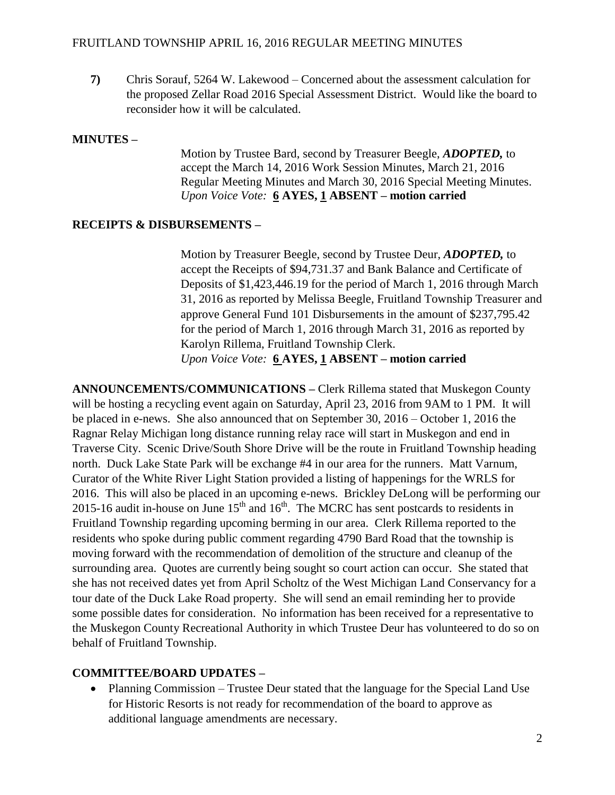**7)** Chris Sorauf, 5264 W. Lakewood – Concerned about the assessment calculation for the proposed Zellar Road 2016 Special Assessment District. Would like the board to reconsider how it will be calculated.

#### **MINUTES –**

Motion by Trustee Bard, second by Treasurer Beegle, *ADOPTED,* to accept the March 14, 2016 Work Session Minutes, March 21, 2016 Regular Meeting Minutes and March 30, 2016 Special Meeting Minutes. *Upon Voice Vote:* **6 AYES, 1 ABSENT – motion carried**

## **RECEIPTS & DISBURSEMENTS –**

Motion by Treasurer Beegle, second by Trustee Deur, *ADOPTED,* to accept the Receipts of \$94,731.37 and Bank Balance and Certificate of Deposits of \$1,423,446.19 for the period of March 1, 2016 through March 31, 2016 as reported by Melissa Beegle, Fruitland Township Treasurer and approve General Fund 101 Disbursements in the amount of \$237,795.42 for the period of March 1, 2016 through March 31, 2016 as reported by Karolyn Rillema, Fruitland Township Clerk. *Upon Voice Vote:* **6 AYES, 1 ABSENT – motion carried**

**ANNOUNCEMENTS/COMMUNICATIONS –** Clerk Rillema stated that Muskegon County will be hosting a recycling event again on Saturday, April 23, 2016 from 9AM to 1 PM. It will be placed in e-news. She also announced that on September 30, 2016 – October 1, 2016 the Ragnar Relay Michigan long distance running relay race will start in Muskegon and end in Traverse City. Scenic Drive/South Shore Drive will be the route in Fruitland Township heading north. Duck Lake State Park will be exchange #4 in our area for the runners. Matt Varnum, Curator of the White River Light Station provided a listing of happenings for the WRLS for 2016. This will also be placed in an upcoming e-news. Brickley DeLong will be performing our 2015-16 audit in-house on June  $15<sup>th</sup>$  and  $16<sup>th</sup>$ . The MCRC has sent postcards to residents in Fruitland Township regarding upcoming berming in our area. Clerk Rillema reported to the residents who spoke during public comment regarding 4790 Bard Road that the township is moving forward with the recommendation of demolition of the structure and cleanup of the surrounding area. Quotes are currently being sought so court action can occur. She stated that she has not received dates yet from April Scholtz of the West Michigan Land Conservancy for a tour date of the Duck Lake Road property. She will send an email reminding her to provide some possible dates for consideration. No information has been received for a representative to the Muskegon County Recreational Authority in which Trustee Deur has volunteered to do so on behalf of Fruitland Township.

## **COMMITTEE/BOARD UPDATES –**

• Planning Commission – Trustee Deur stated that the language for the Special Land Use for Historic Resorts is not ready for recommendation of the board to approve as additional language amendments are necessary.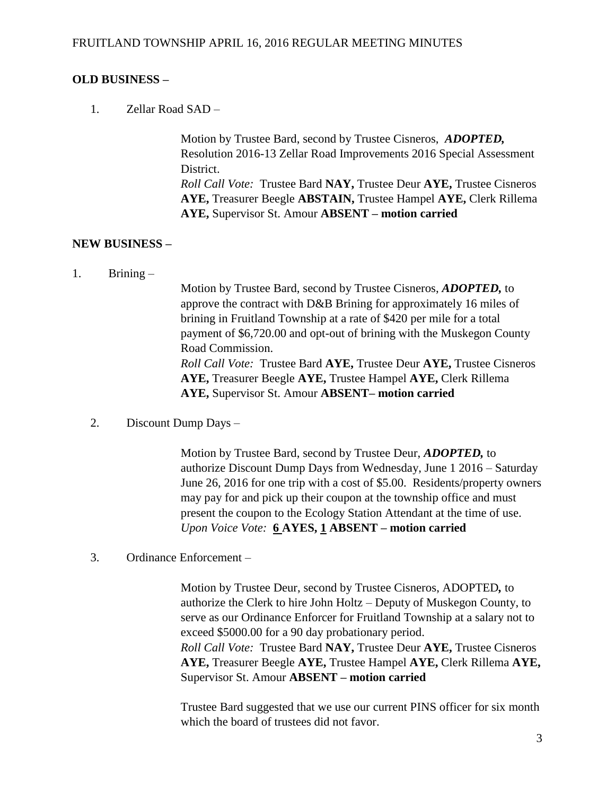## **OLD BUSINESS –**

1. Zellar Road SAD –

Motion by Trustee Bard, second by Trustee Cisneros, *ADOPTED,*  Resolution 2016-13 Zellar Road Improvements 2016 Special Assessment District. *Roll Call Vote:* Trustee Bard **NAY,** Trustee Deur **AYE,** Trustee Cisneros **AYE,** Treasurer Beegle **ABSTAIN,** Trustee Hampel **AYE,** Clerk Rillema **AYE,** Supervisor St. Amour **ABSENT – motion carried**

## **NEW BUSINESS –**

1. Brining –

Motion by Trustee Bard, second by Trustee Cisneros, *ADOPTED,* to approve the contract with D&B Brining for approximately 16 miles of brining in Fruitland Township at a rate of \$420 per mile for a total payment of \$6,720.00 and opt-out of brining with the Muskegon County Road Commission. *Roll Call Vote:* Trustee Bard **AYE,** Trustee Deur **AYE,** Trustee Cisneros **AYE,** Treasurer Beegle **AYE,** Trustee Hampel **AYE,** Clerk Rillema **AYE,** Supervisor St. Amour **ABSENT– motion carried**

2. Discount Dump Days –

Motion by Trustee Bard, second by Trustee Deur, *ADOPTED,* to authorize Discount Dump Days from Wednesday, June 1 2016 – Saturday June 26, 2016 for one trip with a cost of \$5.00. Residents/property owners may pay for and pick up their coupon at the township office and must present the coupon to the Ecology Station Attendant at the time of use. *Upon Voice Vote:* **6 AYES, 1 ABSENT – motion carried**

3. Ordinance Enforcement –

Motion by Trustee Deur, second by Trustee Cisneros, ADOPTED*,* to authorize the Clerk to hire John Holtz – Deputy of Muskegon County, to serve as our Ordinance Enforcer for Fruitland Township at a salary not to exceed \$5000.00 for a 90 day probationary period. *Roll Call Vote:* Trustee Bard **NAY,** Trustee Deur **AYE,** Trustee Cisneros **AYE,** Treasurer Beegle **AYE,** Trustee Hampel **AYE,** Clerk Rillema **AYE,**  Supervisor St. Amour **ABSENT – motion carried**

Trustee Bard suggested that we use our current PINS officer for six month which the board of trustees did not favor.